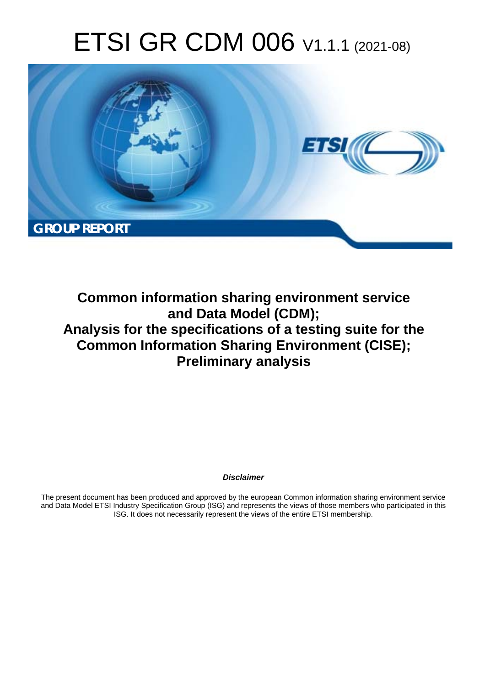# ETSI GR CDM 006 V1.1.1 (2021-08)



**Common information sharing environment service and Data Model (CDM); Analysis for the specifications of a testing suite for the Common Information Sharing Environment (CISE); Preliminary analysis** 

*Disclaimer* 

The present document has been produced and approved by the european Common information sharing environment service and Data Model ETSI Industry Specification Group (ISG) and represents the views of those members who participated in this ISG. It does not necessarily represent the views of the entire ETSI membership.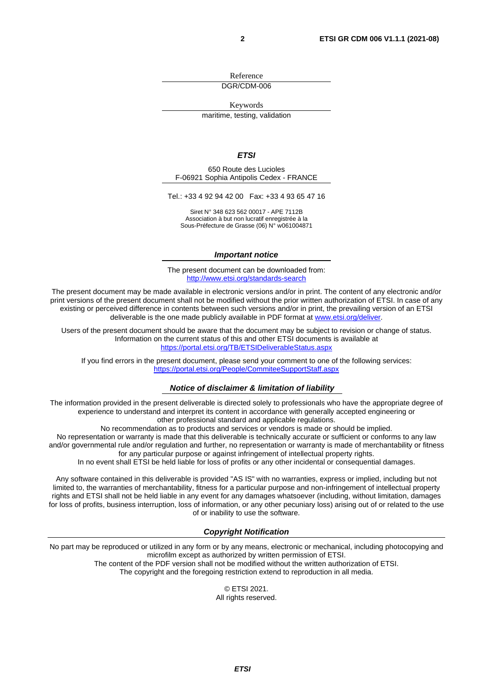Reference DGR/CDM-006

Keywords

maritime, testing, validation

#### *ETSI*

650 Route des Lucioles F-06921 Sophia Antipolis Cedex - FRANCE

Tel.: +33 4 92 94 42 00 Fax: +33 4 93 65 47 16

Siret N° 348 623 562 00017 - APE 7112B Association à but non lucratif enregistrée à la Sous-Préfecture de Grasse (06) N° w061004871

#### *Important notice*

The present document can be downloaded from: <http://www.etsi.org/standards-search>

The present document may be made available in electronic versions and/or in print. The content of any electronic and/or print versions of the present document shall not be modified without the prior written authorization of ETSI. In case of any existing or perceived difference in contents between such versions and/or in print, the prevailing version of an ETSI deliverable is the one made publicly available in PDF format at [www.etsi.org/deliver](http://www.etsi.org/deliver).

Users of the present document should be aware that the document may be subject to revision or change of status. Information on the current status of this and other ETSI documents is available at <https://portal.etsi.org/TB/ETSIDeliverableStatus.aspx>

If you find errors in the present document, please send your comment to one of the following services: <https://portal.etsi.org/People/CommiteeSupportStaff.aspx>

#### *Notice of disclaimer & limitation of liability*

The information provided in the present deliverable is directed solely to professionals who have the appropriate degree of experience to understand and interpret its content in accordance with generally accepted engineering or other professional standard and applicable regulations.

No recommendation as to products and services or vendors is made or should be implied.

No representation or warranty is made that this deliverable is technically accurate or sufficient or conforms to any law and/or governmental rule and/or regulation and further, no representation or warranty is made of merchantability or fitness for any particular purpose or against infringement of intellectual property rights.

In no event shall ETSI be held liable for loss of profits or any other incidental or consequential damages.

Any software contained in this deliverable is provided "AS IS" with no warranties, express or implied, including but not limited to, the warranties of merchantability, fitness for a particular purpose and non-infringement of intellectual property rights and ETSI shall not be held liable in any event for any damages whatsoever (including, without limitation, damages for loss of profits, business interruption, loss of information, or any other pecuniary loss) arising out of or related to the use of or inability to use the software.

#### *Copyright Notification*

No part may be reproduced or utilized in any form or by any means, electronic or mechanical, including photocopying and microfilm except as authorized by written permission of ETSI. The content of the PDF version shall not be modified without the written authorization of ETSI.

The copyright and the foregoing restriction extend to reproduction in all media.

© ETSI 2021. All rights reserved.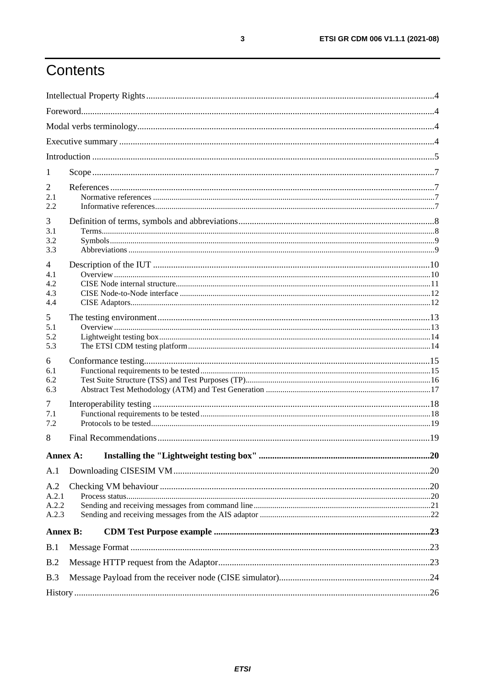# Contents

| 1                              |  |
|--------------------------------|--|
| 2<br>2.1<br>2.2                |  |
| 3<br>3.1<br>3.2<br>3.3         |  |
| 4<br>4.1<br>4.2<br>4.3<br>4.4  |  |
| 5<br>5.1<br>5.2<br>5.3         |  |
| 6<br>6.1<br>6.2<br>6.3         |  |
| 7<br>7.1<br>7.2                |  |
| 8                              |  |
|                                |  |
| A.1                            |  |
| A.2<br>A.2.1<br>A.2.2<br>A.2.3 |  |
| <b>Annex B:</b>                |  |
| B.1                            |  |
| B.2                            |  |
| B.3                            |  |
|                                |  |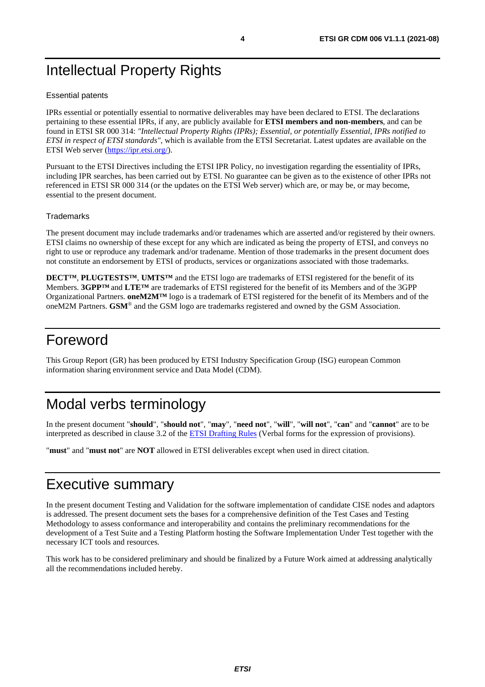# <span id="page-3-0"></span>Intellectual Property Rights

#### Essential patents

IPRs essential or potentially essential to normative deliverables may have been declared to ETSI. The declarations pertaining to these essential IPRs, if any, are publicly available for **ETSI members and non-members**, and can be found in ETSI SR 000 314: *"Intellectual Property Rights (IPRs); Essential, or potentially Essential, IPRs notified to ETSI in respect of ETSI standards"*, which is available from the ETSI Secretariat. Latest updates are available on the ETSI Web server ([https://ipr.etsi.org/\)](https://ipr.etsi.org/).

Pursuant to the ETSI Directives including the ETSI IPR Policy, no investigation regarding the essentiality of IPRs, including IPR searches, has been carried out by ETSI. No guarantee can be given as to the existence of other IPRs not referenced in ETSI SR 000 314 (or the updates on the ETSI Web server) which are, or may be, or may become, essential to the present document.

#### **Trademarks**

The present document may include trademarks and/or tradenames which are asserted and/or registered by their owners. ETSI claims no ownership of these except for any which are indicated as being the property of ETSI, and conveys no right to use or reproduce any trademark and/or tradename. Mention of those trademarks in the present document does not constitute an endorsement by ETSI of products, services or organizations associated with those trademarks.

**DECT™**, **PLUGTESTS™**, **UMTS™** and the ETSI logo are trademarks of ETSI registered for the benefit of its Members. **3GPP™** and **LTE™** are trademarks of ETSI registered for the benefit of its Members and of the 3GPP Organizational Partners. **oneM2M™** logo is a trademark of ETSI registered for the benefit of its Members and of the oneM2M Partners. **GSM**® and the GSM logo are trademarks registered and owned by the GSM Association.

# Foreword

This Group Report (GR) has been produced by ETSI Industry Specification Group (ISG) european Common information sharing environment service and Data Model (CDM).

# Modal verbs terminology

In the present document "**should**", "**should not**", "**may**", "**need not**", "**will**", "**will not**", "**can**" and "**cannot**" are to be interpreted as described in clause 3.2 of the [ETSI Drafting Rules](https://portal.etsi.org/Services/editHelp!/Howtostart/ETSIDraftingRules.aspx) (Verbal forms for the expression of provisions).

"**must**" and "**must not**" are **NOT** allowed in ETSI deliverables except when used in direct citation.

# Executive summary

In the present document Testing and Validation for the software implementation of candidate CISE nodes and adaptors is addressed. The present document sets the bases for a comprehensive definition of the Test Cases and Testing Methodology to assess conformance and interoperability and contains the preliminary recommendations for the development of a Test Suite and a Testing Platform hosting the Software Implementation Under Test together with the necessary ICT tools and resources.

This work has to be considered preliminary and should be finalized by a Future Work aimed at addressing analytically all the recommendations included hereby.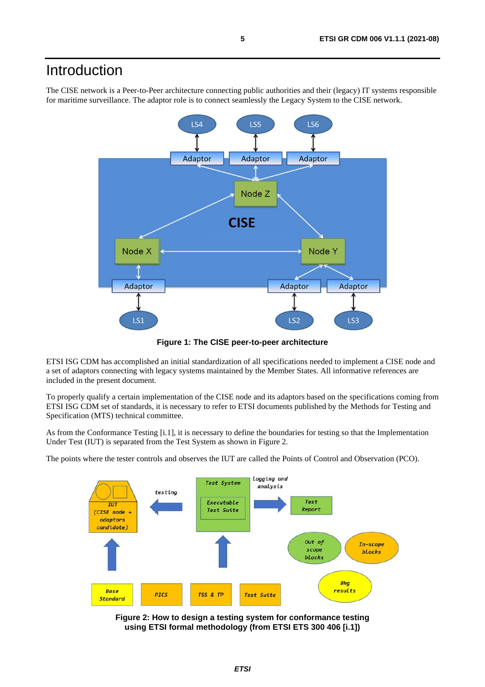# <span id="page-4-0"></span>Introduction

The CISE network is a Peer-to-Peer architecture connecting public authorities and their (legacy) IT systems responsible for maritime surveillance. The adaptor role is to connect seamlessly the Legacy System to the CISE network.



**Figure 1: The CISE peer-to-peer architecture** 

ETSI ISG CDM has accomplished an initial standardization of all specifications needed to implement a CISE node and a set of adaptors connecting with legacy systems maintained by the Member States. All informative references are included in the present document.

To properly qualify a certain implementation of the CISE node and its adaptors based on the specifications coming from ETSI ISG CDM set of standards, it is necessary to refer to ETSI documents published by the Methods for Testing and Specification (MTS) technical committee.

As from the Conformance Testing [\[i.1](#page-6-0)], it is necessary to define the boundaries for testing so that the Implementation Under Test (IUT) is separated from the Test System as shown in Figure 2.

The points where the tester controls and observes the IUT are called the Points of Control and Observation (PCO).



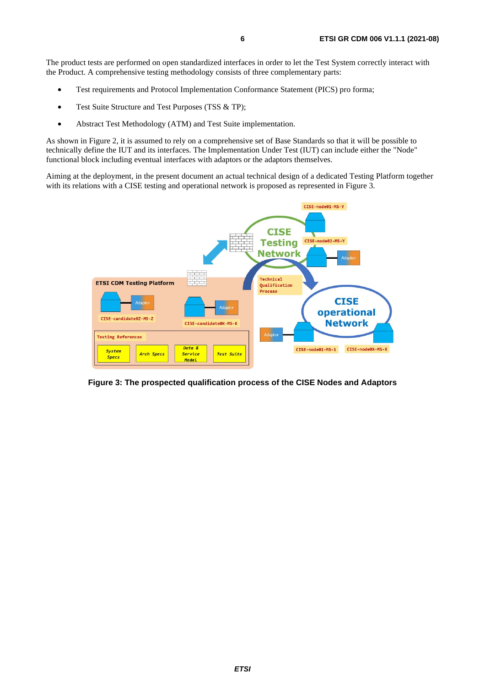The product tests are performed on open standardized interfaces in order to let the Test System correctly interact with the Product. A comprehensive testing methodology consists of three complementary parts:

- Test requirements and Protocol Implementation Conformance Statement (PICS) pro forma;
- Test Suite Structure and Test Purposes (TSS & TP);
- Abstract Test Methodology (ATM) and Test Suite implementation.

As shown in Figure 2, it is assumed to rely on a comprehensive set of Base Standards so that it will be possible to technically define the IUT and its interfaces. The Implementation Under Test (IUT) can include either the "Node" functional block including eventual interfaces with adaptors or the adaptors themselves.

Aiming at the deployment, in the present document an actual technical design of a dedicated Testing Platform together with its relations with a CISE testing and operational network is proposed as represented in Figure 3.



**Figure 3: The prospected qualification process of the CISE Nodes and Adaptors**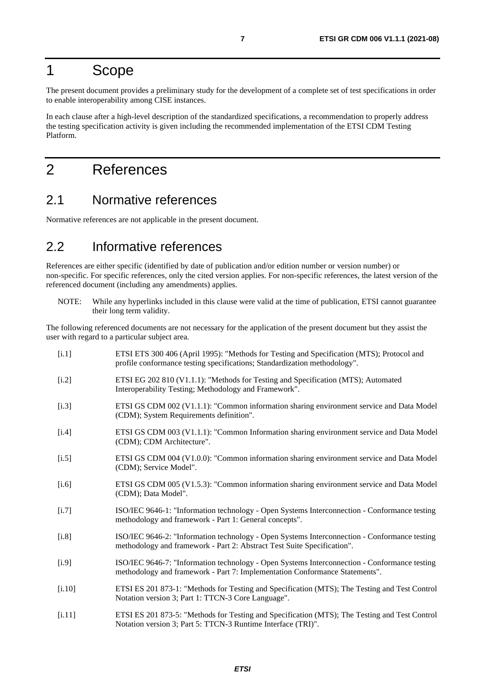# <span id="page-6-0"></span>1 Scope

The present document provides a preliminary study for the development of a complete set of test specifications in order to enable interoperability among CISE instances.

In each clause after a high-level description of the standardized specifications, a recommendation to properly address the testing specification activity is given including the recommended implementation of the ETSI CDM Testing Platform.

# 2 References

#### 2.1 Normative references

Normative references are not applicable in the present document.

### 2.2 Informative references

References are either specific (identified by date of publication and/or edition number or version number) or non-specific. For specific references, only the cited version applies. For non-specific references, the latest version of the referenced document (including any amendments) applies.

NOTE: While any hyperlinks included in this clause were valid at the time of publication, ETSI cannot guarantee their long term validity.

The following referenced documents are not necessary for the application of the present document but they assist the user with regard to a particular subject area.

| [i.1]    | ETSI ETS 300 406 (April 1995): "Methods for Testing and Specification (MTS); Protocol and<br>profile conformance testing specifications; Standardization methodology".      |
|----------|-----------------------------------------------------------------------------------------------------------------------------------------------------------------------------|
| [i.2]    | ETSI EG 202 810 (V1.1.1): "Methods for Testing and Specification (MTS); Automated<br>Interoperability Testing; Methodology and Framework".                                  |
| $[1.3]$  | ETSI GS CDM 002 (V1.1.1): "Common information sharing environment service and Data Model<br>(CDM); System Requirements definition".                                         |
| $[1.4]$  | ETSI GS CDM 003 (V1.1.1): "Common Information sharing environment service and Data Model<br>(CDM); CDM Architecture".                                                       |
| $[1.5]$  | ETSI GS CDM 004 (V1.0.0): "Common information sharing environment service and Data Model<br>(CDM); Service Model".                                                          |
| $[i.6]$  | ETSI GS CDM 005 (V1.5.3): "Common information sharing environment service and Data Model<br>(CDM); Data Model".                                                             |
| $[1.7]$  | ISO/IEC 9646-1: "Information technology - Open Systems Interconnection - Conformance testing<br>methodology and framework - Part 1: General concepts".                      |
| $[i.8]$  | ISO/IEC 9646-2: "Information technology - Open Systems Interconnection - Conformance testing<br>methodology and framework - Part 2: Abstract Test Suite Specification".     |
| [i.9]    | ISO/IEC 9646-7: "Information technology - Open Systems Interconnection - Conformance testing<br>methodology and framework - Part 7: Implementation Conformance Statements". |
| $[1.10]$ | ETSI ES 201 873-1: "Methods for Testing and Specification (MTS); The Testing and Test Control<br>Notation version 3; Part 1: TTCN-3 Core Language".                         |
| $[1.11]$ | ETSI ES 201 873-5: "Methods for Testing and Specification (MTS); The Testing and Test Control<br>Notation version 3; Part 5: TTCN-3 Runtime Interface (TRI)".               |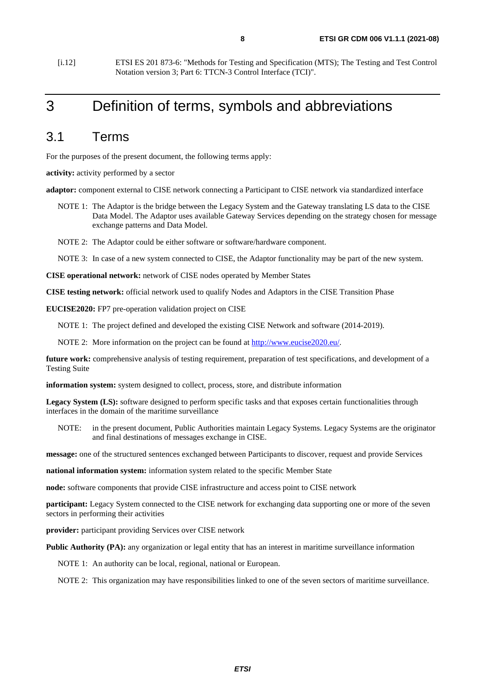<span id="page-7-0"></span>[i.12] ETSI ES 201 873-6: "Methods for Testing and Specification (MTS); The Testing and Test Control Notation version 3; Part 6: TTCN-3 Control Interface (TCI)".

# 3 Definition of terms, symbols and abbreviations

### 3.1 Terms

For the purposes of the present document, the following terms apply:

**activity:** activity performed by a sector

**adaptor:** component external to CISE network connecting a Participant to CISE network via standardized interface

- NOTE 1: The Adaptor is the bridge between the Legacy System and the Gateway translating LS data to the CISE Data Model. The Adaptor uses available Gateway Services depending on the strategy chosen for message exchange patterns and Data Model.
- NOTE 2: The Adaptor could be either software or software/hardware component.

NOTE 3: In case of a new system connected to CISE, the Adaptor functionality may be part of the new system.

**CISE operational network:** network of CISE nodes operated by Member States

**CISE testing network:** official network used to qualify Nodes and Adaptors in the CISE Transition Phase

**EUCISE2020:** FP7 pre-operation validation project on CISE

NOTE 1: The project defined and developed the existing CISE Network and software (2014-2019).

NOTE 2: More information on the project can be found at<http://www.eucise2020.eu/>.

**future work:** comprehensive analysis of testing requirement, preparation of test specifications, and development of a Testing Suite

**information system:** system designed to collect, process, store, and distribute information

Legacy System (LS): software designed to perform specific tasks and that exposes certain functionalities through interfaces in the domain of the maritime surveillance

NOTE: in the present document, Public Authorities maintain Legacy Systems. Legacy Systems are the originator and final destinations of messages exchange in CISE.

**message:** one of the structured sentences exchanged between Participants to discover, request and provide Services

**national information system:** information system related to the specific Member State

**node:** software components that provide CISE infrastructure and access point to CISE network

**participant:** Legacy System connected to the CISE network for exchanging data supporting one or more of the seven sectors in performing their activities

**provider:** participant providing Services over CISE network

**Public Authority (PA):** any organization or legal entity that has an interest in maritime surveillance information

NOTE 1: An authority can be local, regional, national or European.

NOTE 2: This organization may have responsibilities linked to one of the seven sectors of maritime surveillance.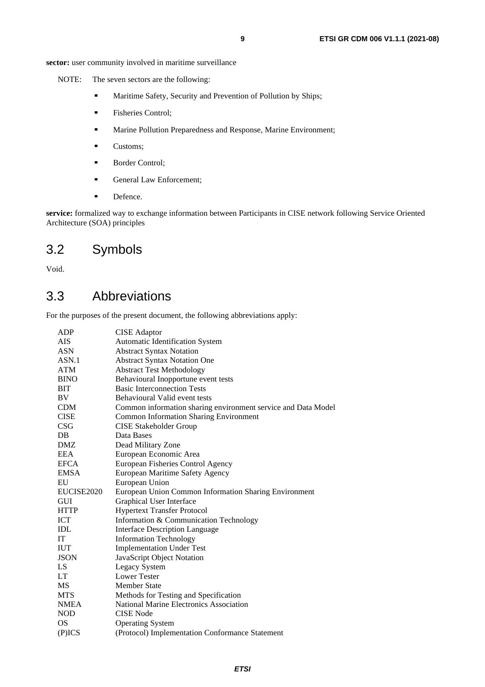<span id="page-8-0"></span>sector: user community involved in maritime surveillance

NOTE: The seven sectors are the following:

- Maritime Safety, Security and Prevention of Pollution by Ships;<br>Fisheries Control:
- Fisheries Control;<br>Marine Pollution I
- Marine Pollution Preparedness and Response, Marine Environment;
- Customs;
- Border Control;<br>
General Law Fr
- General Law Enforcement;<br>Defence.
- 

**Defence.**<br>**service:** formalized way to exchange information between Participants in CISE network following Service Oriented Architecture (SOA) principles

### 3.2 Symbols

Void.

### 3.3 Abbreviations

For the purposes of the present document, the following abbreviations apply:

| ADP            | <b>CISE</b> Adaptor                                           |
|----------------|---------------------------------------------------------------|
| <b>AIS</b>     | Automatic Identification System                               |
| <b>ASN</b>     | <b>Abstract Syntax Notation</b>                               |
| ASN.1          | <b>Abstract Syntax Notation One</b>                           |
| <b>ATM</b>     | <b>Abstract Test Methodology</b>                              |
| <b>BINO</b>    | Behavioural Inopportune event tests                           |
| BIT            | <b>Basic Interconnection Tests</b>                            |
| BV             | Behavioural Valid event tests                                 |
| <b>CDM</b>     | Common information sharing environment service and Data Model |
| <b>CISE</b>    | <b>Common Information Sharing Environment</b>                 |
| <b>CSG</b>     | <b>CISE Stakeholder Group</b>                                 |
| DB             | Data Bases                                                    |
| DMZ            | Dead Military Zone                                            |
| <b>EEA</b>     | European Economic Area                                        |
| <b>EFCA</b>    | European Fisheries Control Agency                             |
| <b>EMSA</b>    | European Maritime Safety Agency                               |
| EU             | European Union                                                |
| EUCISE2020     | European Union Common Information Sharing Environment         |
| <b>GUI</b>     | Graphical User Interface                                      |
| <b>HTTP</b>    | <b>Hypertext Transfer Protocol</b>                            |
| <b>ICT</b>     | Information & Communication Technology                        |
| $\mathbf{IDL}$ | <b>Interface Description Language</b>                         |
| IT             | <b>Information Technology</b>                                 |
| <b>IUT</b>     | <b>Implementation Under Test</b>                              |
| <b>JSON</b>    | JavaScript Object Notation                                    |
| LS             | Legacy System                                                 |
| <b>LT</b>      | <b>Lower Tester</b>                                           |
| MS             | <b>Member State</b>                                           |
| <b>MTS</b>     | Methods for Testing and Specification                         |
| <b>NMEA</b>    | <b>National Marine Electronics Association</b>                |
| <b>NOD</b>     | <b>CISE Node</b>                                              |
| <b>OS</b>      | <b>Operating System</b>                                       |
| (P)ICS         | (Protocol) Implementation Conformance Statement               |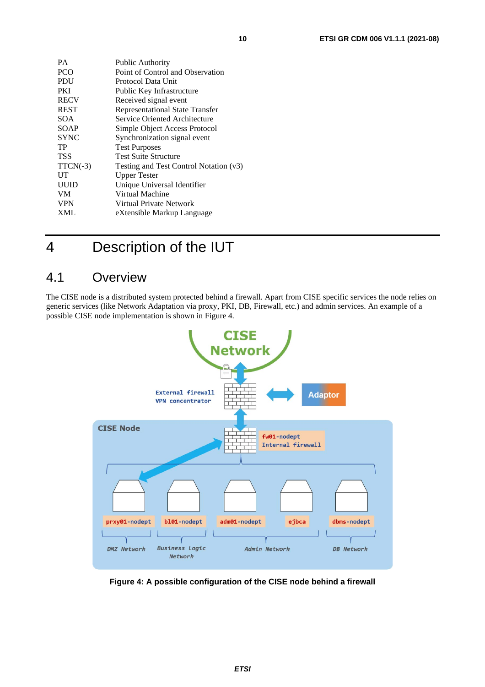<span id="page-9-0"></span>

| <b>РА</b>   | Public Authority                       |
|-------------|----------------------------------------|
| <b>PCO</b>  | Point of Control and Observation       |
| PDU         | Protocol Data Unit                     |
| PKI         | Public Key Infrastructure              |
| <b>RECV</b> | Received signal event                  |
| <b>REST</b> | <b>Representational State Transfer</b> |
| SOA.        | Service Oriented Architecture          |
| <b>SOAP</b> | Simple Object Access Protocol          |
| <b>SYNC</b> | Synchronization signal event           |
| TP          | <b>Test Purposes</b>                   |
| <b>TSS</b>  | <b>Test Suite Structure</b>            |
| $TTCN(-3)$  | Testing and Test Control Notation (v3) |
| UT          | <b>Upper Tester</b>                    |
| <b>UUID</b> | Unique Universal Identifier            |
| <b>VM</b>   | Virtual Machine                        |
| <b>VPN</b>  | Virtual Private Network                |
| <b>XML</b>  | eXtensible Markup Language             |
|             |                                        |

# 4 Description of the IUT

### 4.1 Overview

The CISE node is a distributed system protected behind a firewall. Apart from CISE specific services the node relies on generic services (like Network Adaptation via proxy, PKI, DB, Firewall, etc.) and admin services. An example of a possible CISE node implementation is shown in Figure 4.



**Figure 4: A possible configuration of the CISE node behind a firewall**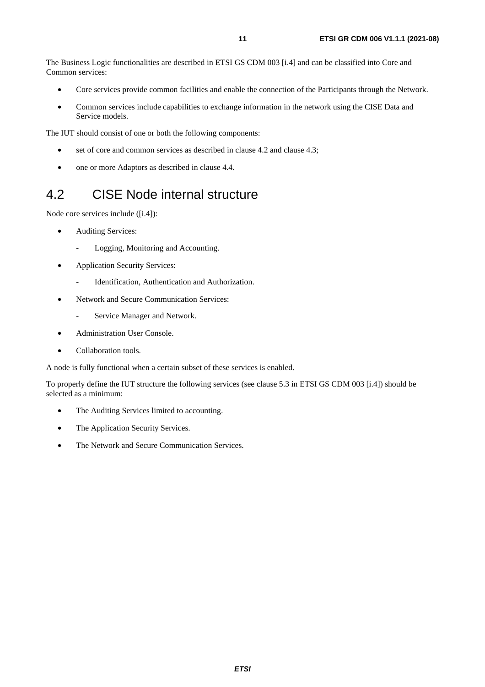<span id="page-10-0"></span>The Business Logic functionalities are described in ETSI GS CDM 003 [\[i.4](#page-6-0)] and can be classified into Core and Common services:

- Core services provide common facilities and enable the connection of the Participants through the Network.
- Common services include capabilities to exchange information in the network using the CISE Data and Service models.

The IUT should consist of one or both the following components:

- set of core and common services as described in clause 4.2 and clause 4.3;
- one or more Adaptors as described in clause 4.4.

### 4.2 CISE Node internal structure

Node core services include ([[i.4](#page-6-0)]):

- Auditing Services:
	- Logging, Monitoring and Accounting.
- Application Security Services:
	- Identification, Authentication and Authorization.
- Network and Secure Communication Services:
	- Service Manager and Network.
- Administration User Console.
- Collaboration tools.

A node is fully functional when a certain subset of these services is enabled.

To properly define the IUT structure the following services (see clause 5.3 in ETSI GS CDM 003 [\[i.4](#page-6-0)]) should be selected as a minimum:

- The Auditing Services limited to accounting.
- The Application Security Services.
- The Network and Secure Communication Services.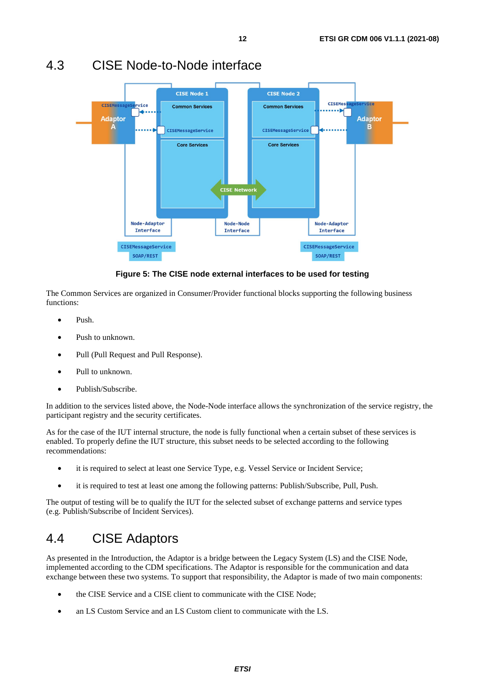

### <span id="page-11-0"></span>4.3 CISE Node-to-Node interface

#### **Figure 5: The CISE node external interfaces to be used for testing**

The Common Services are organized in Consumer/Provider functional blocks supporting the following business functions:

- Push.
- Push to unknown.
- Pull (Pull Request and Pull Response).
- Pull to unknown.
- Publish/Subscribe.

In addition to the services listed above, the Node-Node interface allows the synchronization of the service registry, the participant registry and the security certificates.

As for the case of the IUT internal structure, the node is fully functional when a certain subset of these services is enabled. To properly define the IUT structure, this subset needs to be selected according to the following recommendations:

- it is required to select at least one Service Type, e.g. Vessel Service or Incident Service;
- it is required to test at least one among the following patterns: Publish/Subscribe, Pull, Push.

The output of testing will be to qualify the IUT for the selected subset of exchange patterns and service types (e.g. Publish/Subscribe of Incident Services).

### 4.4 CISE Adaptors

As presented in the Introduction, the Adaptor is a bridge between the Legacy System (LS) and the CISE Node, implemented according to the CDM specifications. The Adaptor is responsible for the communication and data exchange between these two systems. To support that responsibility, the Adaptor is made of two main components:

- the CISE Service and a CISE client to communicate with the CISE Node;
- an LS Custom Service and an LS Custom client to communicate with the LS.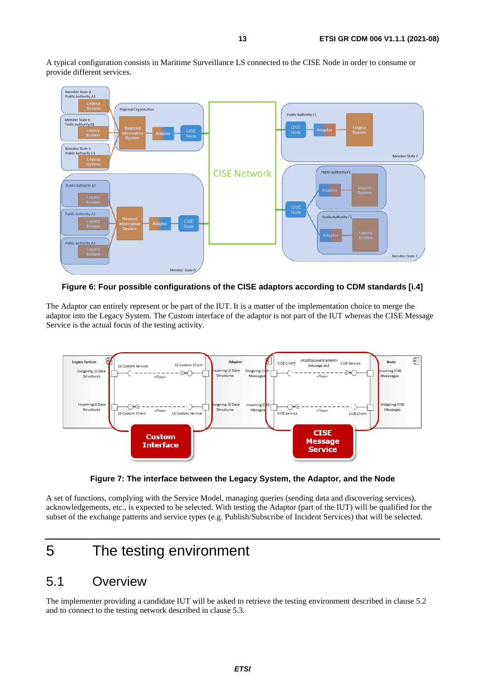<span id="page-12-0"></span>A typical configuration consists in Maritime Surveillance LS connected to the CISE Node in order to consume or provide different services.



**Figure 6: Four possible configurations of the CISE adaptors according to CDM standards [[i.4\]](#page-6-0)** 

The Adaptor can entirely represent or be part of the IUT. It is a matter of the implementation choice to merge the adaptor into the Legacy System. The Custom interface of the adaptor is not part of the IUT whereas the CISE Message Service is the actual focus of the testing activity.



**Figure 7: The interface between the Legacy System, the Adaptor, and the Node** 

A set of functions, complying with the Service Model, managing queries (sending data and discovering services), acknowledgements, etc., is expected to be selected. With testing the Adaptor (part of the IUT) will be qualified for the subset of the exchange patterns and service types (e.g. Publish/Subscribe of Incident Services) that will be selected.

# 5 The testing environment

### 5.1 Overview

The implementer providing a candidate IUT will be asked to retrieve the testing environment described in clause 5.2 and to connect to the testing network described in clause 5.3.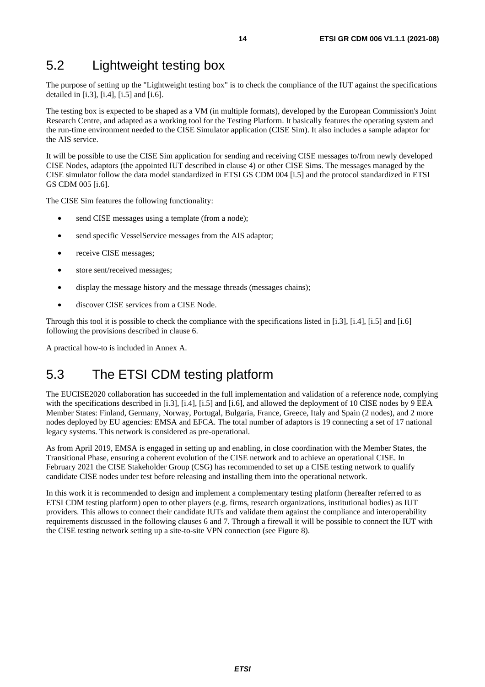### <span id="page-13-0"></span>5.2 Lightweight testing box

The purpose of setting up the "Lightweight testing box" is to check the compliance of the IUT against the specifications detailed in  $[i.3]$ ,  $[i.4]$ ,  $[i.5]$  and  $[i.6]$ .

The testing box is expected to be shaped as a VM (in multiple formats), developed by the European Commission's Joint Research Centre, and adapted as a working tool for the Testing Platform. It basically features the operating system and the run-time environment needed to the CISE Simulator application (CISE Sim). It also includes a sample adaptor for the AIS service.

It will be possible to use the CISE Sim application for sending and receiving CISE messages to/from newly developed CISE Nodes, adaptors (the appointed IUT described in clause 4) or other CISE Sims. The messages managed by the CISE simulator follow the data model standardized in ETSI GS CDM 004 [\[i.5\]](#page-6-0) and the protocol standardized in ETSI GS CDM 005 [[i.6](#page-6-0)].

The CISE Sim features the following functionality:

- send CISE messages using a template (from a node);
- send specific VesselService messages from the AIS adaptor;
- receive CISE messages;
- store sent/received messages;
- display the message history and the message threads (messages chains);
- discover CISE services from a CISE Node.

Through this tool it is possible to check the compliance with the specifications listed in [\[i.3](#page-6-0)], [[i.4](#page-6-0)], [[i.5](#page-6-0)] and [\[i.6](#page-6-0)] following the provisions described in clause 6.

A practical how-to is included in Annex A.

### 5.3 The ETSI CDM testing platform

The EUCISE2020 collaboration has succeeded in the full implementation and validation of a reference node, complying with the specifications described in [\[i.3\]](#page-6-0), [\[i.4](#page-6-0)], [\[i.5](#page-6-0)] and [[i.6](#page-6-0)], and allowed the deployment of 10 CISE nodes by 9 EEA Member States: Finland, Germany, Norway, Portugal, Bulgaria, France, Greece, Italy and Spain (2 nodes), and 2 more nodes deployed by EU agencies: EMSA and EFCA. The total number of adaptors is 19 connecting a set of 17 national legacy systems. This network is considered as pre-operational.

As from April 2019, EMSA is engaged in setting up and enabling, in close coordination with the Member States, the Transitional Phase, ensuring a coherent evolution of the CISE network and to achieve an operational CISE. In February 2021 the CISE Stakeholder Group (CSG) has recommended to set up a CISE testing network to qualify candidate CISE nodes under test before releasing and installing them into the operational network.

In this work it is recommended to design and implement a complementary testing platform (hereafter referred to as ETSI CDM testing platform) open to other players (e.g. firms, research organizations, institutional bodies) as IUT providers. This allows to connect their candidate IUTs and validate them against the compliance and interoperability requirements discussed in the following clauses 6 and 7. Through a firewall it will be possible to connect the IUT with the CISE testing network setting up a site-to-site VPN connection (see [Figure 8](#page-14-0)).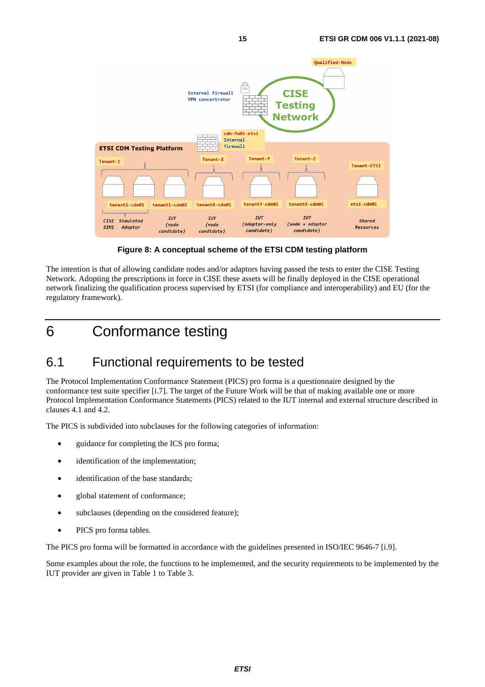<span id="page-14-0"></span>

**Figure 8: A conceptual scheme of the ETSI CDM testing platform** 

The intention is that of allowing candidate nodes and/or adaptors having passed the tests to enter the CISE Testing Network. Adopting the prescriptions in force in CISE these assets will be finally deployed in the CISE operational network finalizing the qualification process supervised by ETSI (for compliance and interoperability) and EU (for the regulatory framework).

# 6 Conformance testing

### 6.1 Functional requirements to be tested

The Protocol Implementation Conformance Statement (PICS) pro forma is a questionnaire designed by the conformance test suite specifier [\[i.7](#page-6-0)]. The target of the Future Work will be that of making available one or more Protocol Implementation Conformance Statements (PICS) related to the IUT internal and external structure described in clauses 4.1 and 4.2.

The PICS is subdivided into subclauses for the following categories of information:

- guidance for completing the ICS pro forma;
- identification of the implementation;
- identification of the base standards;
- global statement of conformance;
- subclauses (depending on the considered feature);
- PICS pro forma tables.

The PICS pro forma will be formatted in accordance with the guidelines presented in ISO/IEC 9646-7 [[i.9](#page-6-0)].

Some examples about the role, the functions to be implemented, and the security requirements to be implemented by the IUT provider are given in Table 1 to Table 3.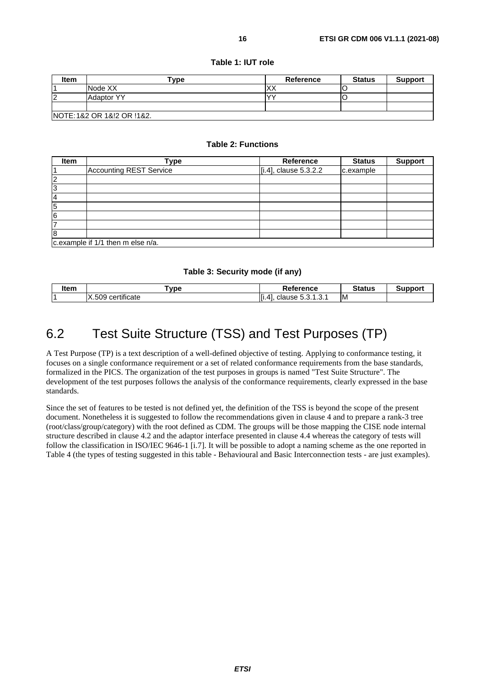<span id="page-15-0"></span>

| Item                        | $T$ vpe           | <b>Reference</b> | <b>Status</b> | <b>Support</b> |
|-----------------------------|-------------------|------------------|---------------|----------------|
|                             | Node XX           | v٧<br>∧∧         |               |                |
| 12                          | <b>Adaptor YY</b> | $\sqrt{2}$       |               |                |
|                             |                   |                  |               |                |
| INOTE: 1&2 OR 1&!2 OR !1&2. |                   |                  |               |                |

#### **Table 1: IUT role**

#### **Table 2: Functions**

| <b>Item</b>                       | Type                    | <b>Reference</b>      | <b>Status</b> | <b>Support</b> |
|-----------------------------------|-------------------------|-----------------------|---------------|----------------|
|                                   | Accounting REST Service | [i.4], clause 5.3.2.2 | c.example     |                |
| 2                                 |                         |                       |               |                |
| 3                                 |                         |                       |               |                |
| 4                                 |                         |                       |               |                |
| 15                                |                         |                       |               |                |
| 6                                 |                         |                       |               |                |
|                                   |                         |                       |               |                |
| 8                                 |                         |                       |               |                |
| c.example if 1/1 then m else n/a. |                         |                       |               |                |

#### **Table 3: Security mode (if any)**

| ltem | <b>vpe</b>                           | ?eference                          | $C_{\text{full}}$<br>เนะ |  |
|------|--------------------------------------|------------------------------------|--------------------------|--|
|      | .<br>509<br>$\lambda$<br>certificate | Jause ∶<br>4<br>$\cdots$<br>.<br>. | ΙM                       |  |

# 6.2 Test Suite Structure (TSS) and Test Purposes (TP)

A Test Purpose (TP) is a text description of a well-defined objective of testing. Applying to conformance testing, it focuses on a single conformance requirement or a set of related conformance requirements from the base standards, formalized in the PICS. The organization of the test purposes in groups is named "Test Suite Structure". The development of the test purposes follows the analysis of the conformance requirements, clearly expressed in the base standards.

Since the set of features to be tested is not defined yet, the definition of the TSS is beyond the scope of the present document. Nonetheless it is suggested to follow the recommendations given in clause 4 and to prepare a rank-3 tree (root/class/group/category) with the root defined as CDM. The groups will be those mapping the CISE node internal structure described in clause 4.2 and the adaptor interface presented in clause 4.4 whereas the category of tests will follow the classification in ISO/IEC 9646-1 [\[i.7](#page-6-0)]. It will be possible to adopt a naming scheme as the one reported in [Table 4](#page-16-0) (the types of testing suggested in this table - Behavioural and Basic Interconnection tests - are just examples).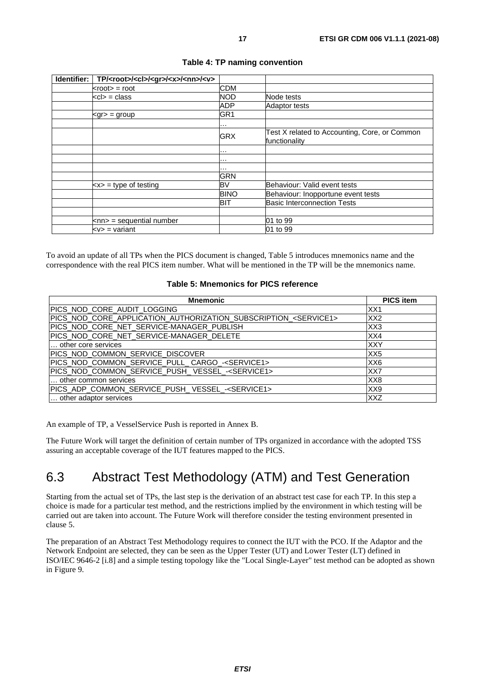<span id="page-16-0"></span>

| Identifier: | TP/ <root>/<cl>/<gr>/<x>/<nn>/<v></v></nn></x></gr></cl></root> |                 |                                                                |
|-------------|-----------------------------------------------------------------|-----------------|----------------------------------------------------------------|
|             | $<$ root $>$ = root                                             | <b>CDM</b>      |                                                                |
|             | $<$ cl $>$ = class                                              | <b>NOD</b>      | Node tests                                                     |
|             |                                                                 | <b>ADP</b>      | <b>Adaptor tests</b>                                           |
|             | $<$ gr $>$ = group                                              | GR <sub>1</sub> |                                                                |
|             |                                                                 | $\cdots$        |                                                                |
|             |                                                                 | <b>GRX</b>      | Test X related to Accounting, Core, or Common<br>functionality |
|             |                                                                 | .               |                                                                |
|             |                                                                 | .               |                                                                |
|             |                                                                 | $\cdots$        |                                                                |
|             |                                                                 | <b>GRN</b>      |                                                                |
|             | $\langle x \rangle$ = type of testing                           | <b>BV</b>       | Behaviour: Valid event tests                                   |
|             |                                                                 | <b>BINO</b>     | Behaviour: Inopportune event tests                             |
|             |                                                                 | <b>BIT</b>      | <b>Basic Interconnection Tests</b>                             |
|             |                                                                 |                 |                                                                |
|             | $\langle$ nn> = sequential number                               |                 | 01 to 99                                                       |
|             | $< v>$ = variant                                                |                 | 01 to 99                                                       |

#### **Table 4: TP naming convention**

To avoid an update of all TPs when the PICS document is changed, Table 5 introduces mnemonics name and the correspondence with the real PICS item number. What will be mentioned in the TP will be the mnemonics name.

#### **Table 5: Mnemonics for PICS reference**

| <b>Mnemonic</b>                                                            | <b>PICS item</b> |  |
|----------------------------------------------------------------------------|------------------|--|
| PICS NOD CORE AUDIT LOGGING                                                | XX <sub>1</sub>  |  |
| PICS NOD CORE APPLICATION AUTHORIZATION SUBSCRIPTION <service1></service1> | XX <sub>2</sub>  |  |
| PICS NOD CORE NET SERVICE-MANAGER PUBLISH                                  | XX3              |  |
| PICS NOD CORE NET SERVICE-MANAGER DELETE                                   | XX4              |  |
| other core services                                                        | <b>XXY</b>       |  |
| PICS NOD COMMON SERVICE DISCOVER                                           | XX <sub>5</sub>  |  |
| PICS_NOD_COMMON_SERVICE_PULL_CARGO_- <service1></service1>                 | XX6              |  |
| PICS_NOD_COMMON_SERVICE_PUSH_VESSEL_- <service1></service1>                | XX7              |  |
| other common services                                                      | XX8              |  |
| PICS_ADP_COMMON_SERVICE_PUSH_VESSEL_- <service1><br/>XX9</service1>        |                  |  |
| other adaptor services<br><b>XXZ</b>                                       |                  |  |

An example of TP, a VesselService Push is reported in Annex B.

The Future Work will target the definition of certain number of TPs organized in accordance with the adopted TSS assuring an acceptable coverage of the IUT features mapped to the PICS.

### 6.3 Abstract Test Methodology (ATM) and Test Generation

Starting from the actual set of TPs, the last step is the derivation of an abstract test case for each TP. In this step a choice is made for a particular test method, and the restrictions implied by the environment in which testing will be carried out are taken into account. The Future Work will therefore consider the testing environment presented in clause 5.

The preparation of an Abstract Test Methodology requires to connect the IUT with the PCO. If the Adaptor and the Network Endpoint are selected, they can be seen as the Upper Tester (UT) and Lower Tester (LT) defined in ISO/IEC 9646-2 [\[i.8](#page-6-0)] and a simple testing topology like the "Local Single-Layer" test method can be adopted as shown in [Figure 9.](#page-17-0)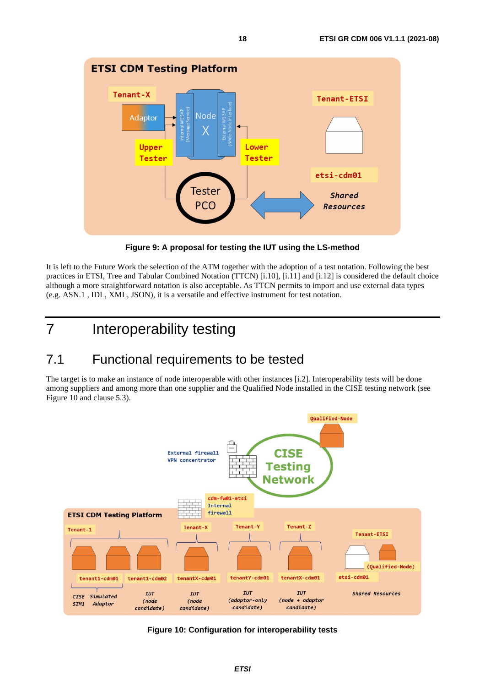<span id="page-17-0"></span>

**Figure 9: A proposal for testing the IUT using the LS-method** 

It is left to the Future Work the selection of the ATM together with the adoption of a test notation. Following the best practices in ETSI, Tree and Tabular Combined Notation (TTCN) [\[i.10](#page-6-0)], [\[i.11\]](#page-6-0) and [[i.12](#page-7-0)] is considered the default choice although a more straightforward notation is also acceptable. As TTCN permits to import and use external data types (e.g. ASN.1 , IDL, XML, JSON), it is a versatile and effective instrument for test notation.

# 7 Interoperability testing

# 7.1 Functional requirements to be tested

The target is to make an instance of node interoperable with other instances [\[i.2\]](#page-6-0). Interoperability tests will be done among suppliers and among more than one supplier and the Qualified Node installed in the CISE testing network (see Figure 10 and clause 5.3).



**Figure 10: Configuration for interoperability tests**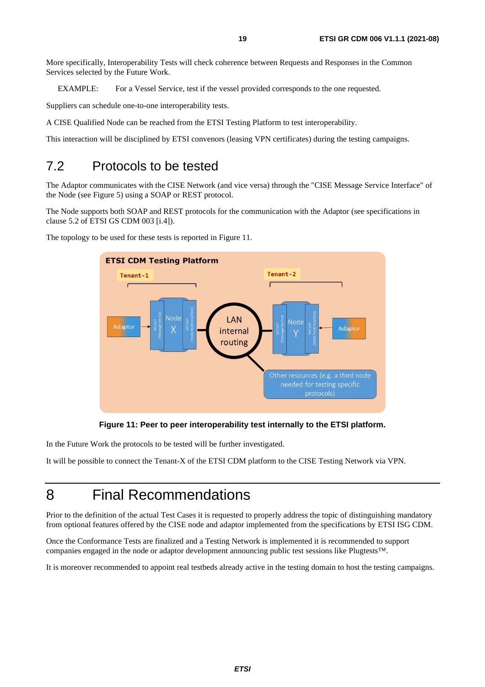<span id="page-18-0"></span>More specifically, Interoperability Tests will check coherence between Requests and Responses in the Common Services selected by the Future Work.

EXAMPLE: For a Vessel Service, test if the vessel provided corresponds to the one requested.

Suppliers can schedule one-to-one interoperability tests.

A CISE Qualified Node can be reached from the ETSI Testing Platform to test interoperability.

This interaction will be disciplined by ETSI convenors (leasing VPN certificates) during the testing campaigns.

### 7.2 Protocols to be tested

The Adaptor communicates with the CISE Network (and vice versa) through the "CISE Message Service Interface" of the Node (see [Figure 5\)](#page-11-0) using a SOAP or REST protocol.

The Node supports both SOAP and REST protocols for the communication with the Adaptor (see specifications in clause 5.2 of ETSI GS CDM 003 [\[i.4](#page-6-0)]).



The topology to be used for these tests is reported in Figure 11.

**Figure 11: Peer to peer interoperability test internally to the ETSI platform.** 

In the Future Work the protocols to be tested will be further investigated.

It will be possible to connect the Tenant-X of the ETSI CDM platform to the CISE Testing Network via VPN.

# 8 Final Recommendations

Prior to the definition of the actual Test Cases it is requested to properly address the topic of distinguishing mandatory from optional features offered by the CISE node and adaptor implemented from the specifications by ETSI ISG CDM.

Once the Conformance Tests are finalized and a Testing Network is implemented it is recommended to support companies engaged in the node or adaptor development announcing public test sessions like Plugtests™.

It is moreover recommended to appoint real testbeds already active in the testing domain to host the testing campaigns.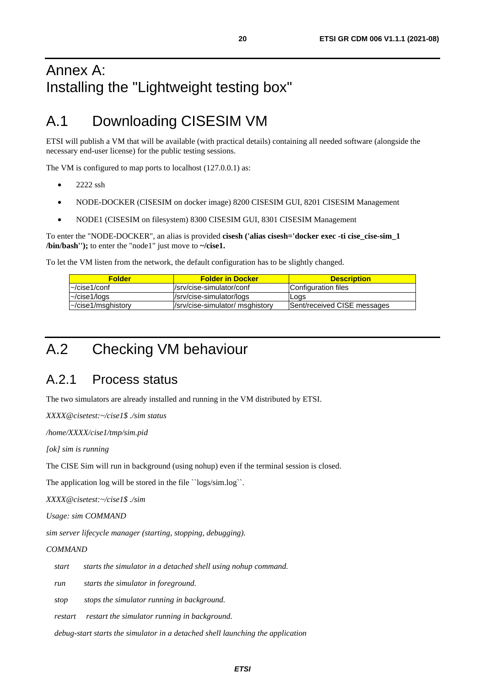# <span id="page-19-0"></span>Annex A: Installing the "Lightweight testing box"

# A.1 Downloading CISESIM VM

ETSI will publish a VM that will be available (with practical details) containing all needed software (alongside the necessary end-user license) for the public testing sessions.

The VM is configured to map ports to localhost (127.0.0.1) as:

- 2222 ssh
- NODE-DOCKER (CISESIM on docker image) 8200 CISESIM GUI, 8201 CISESIM Management
- NODE1 (CISESIM on filesystem) 8300 CISESIM GUI, 8301 CISESIM Management

To enter the "NODE-DOCKER", an alias is provided **cisesh ('alias cisesh='docker exec -ti cise\_cise-sim\_1 /bin/bash'');** to enter the "node1" just move to **~/cise1.** 

To let the VM listen from the network, the default configuration has to be slightly changed.

| <b>Folder</b>            | <b>Folder in Docker</b>         | <b>Description</b>          |
|--------------------------|---------------------------------|-----------------------------|
| l~/cise1/conf            | l/srv/cise-simulator/conf       | Configuration files         |
| l~/cise1/logs            | /srv/cise-simulator/logs        | Logs                        |
| $\sim$ /cise1/msghistory | /srv/cise-simulator/ msghistory | Sent/received CISE messages |

# A.2 Checking VM behaviour

### A.2.1 Process status

The two simulators are already installed and running in the VM distributed by ETSI.

*XXXX@cisetest:~/cise1\$ ./sim status* 

*/home/XXXX/cise1/tmp/sim.pid* 

*[ok] sim is running* 

The CISE Sim will run in background (using nohup) even if the terminal session is closed.

The application log will be stored in the file ``logs/sim.log``.

*XXXX@cisetest:~/cise1\$ ./sim* 

*Usage: sim COMMAND* 

*sim server lifecycle manager (starting, stopping, debugging).* 

#### *COMMAND*

 *start starts the simulator in a detached shell using nohup command.* 

 *run starts the simulator in foreground.* 

 *stop stops the simulator running in background.* 

 *restart restart the simulator running in background.* 

 *debug-start starts the simulator in a detached shell launching the application*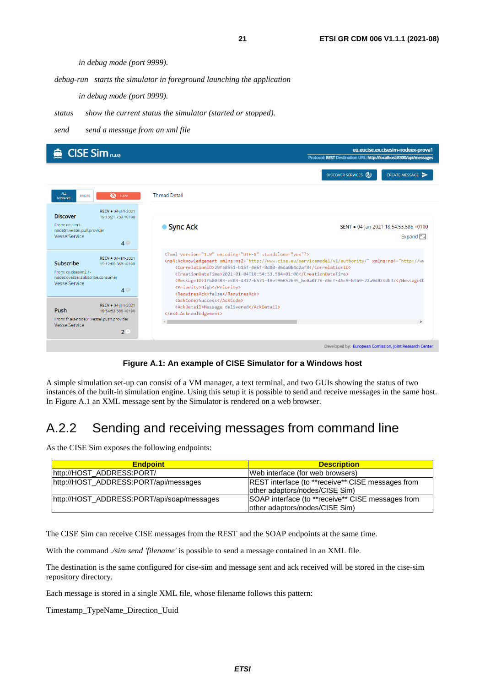*in debug mode (port 9999).* 

<span id="page-20-0"></span> *debug-run starts the simulator in foreground launching the application* 

 *in debug mode (port 9999).* 

- *status show the current status the simulator (started or stopped).*
- *send send a message from an xml file*

| $\bigotimes$ CISE Sim (1.3.0)                                                                                                                        |                                                                                                                       | eu.eucise.ex.cisesim-nodeex-prova1<br>Protocol: REST Destination URL: http://localhost:8300/api/messages                                                                                                                                                                                                                                              |
|------------------------------------------------------------------------------------------------------------------------------------------------------|-----------------------------------------------------------------------------------------------------------------------|-------------------------------------------------------------------------------------------------------------------------------------------------------------------------------------------------------------------------------------------------------------------------------------------------------------------------------------------------------|
|                                                                                                                                                      |                                                                                                                       | DISCOVER SERVICES (4)<br>CREATE MESSAGE                                                                                                                                                                                                                                                                                                               |
| <b>ALL</b><br>$\omega$<br><b>CLEAR</b><br><b>ERRORS</b><br><b>MESSAGES</b>                                                                           | <b>Thread Detail</b>                                                                                                  |                                                                                                                                                                                                                                                                                                                                                       |
| RECV . 04-Jan-2021<br><b>Discover</b><br>19:13:21.739 +0100                                                                                          |                                                                                                                       |                                                                                                                                                                                                                                                                                                                                                       |
| From: de.sim1-<br>node01.vessel.pull.provider<br>VesselService<br>$4 \oplus$                                                                         | ● Sync Ack                                                                                                            | SENT . 04-Jan-2021 18:54:53.586 +0100<br>Expand $\Box$                                                                                                                                                                                                                                                                                                |
| RECV . 04-lan-2021<br>Subscribe<br>19:12:00.068 +0100<br>From: cx.cisesim2.1-<br>nodecx.vessel.subscribe.consumer<br>VesselService<br>4 <sup>°</sup> | xml version="1.0" encoding="UTF-8" standalone="yes"?<br><priority>High</priority><br><requiresack>false</requiresack> | <ns4:Acknowledgement xmlns:ns2="http://www.cise.eu/servicemodel/v1/authority/" xmlns:ns4="http://ww<br> <correlationid>29fe8551-b15f-4e6f-8d80-36da0b4d2af8</correlationid><br><creationdatetime>2021-01-04T18:54:53.584+01:00</creationdatetime><br><messageid>1fb80383-ec03-4327-b521-f8ef96652b39 bc0a0f76-d6cf-45c9-bf69-22a9d82ddb37</messageid> |
| RECV · 04-Jan-2021<br>Push<br>18:54:53.586 +0100<br>From: fr.ais-node01.vessel.push.provider<br>VesselService<br>$2^{\circ}$                         | <ackcode>Success</ackcode><br><ackdetail>Message delivered</ackdetail><br>                                            |                                                                                                                                                                                                                                                                                                                                                       |
|                                                                                                                                                      |                                                                                                                       | Developed by: European Comission, Joint Research Center                                                                                                                                                                                                                                                                                               |

**Figure A.1: An example of CISE Simulator for a Windows host** 

A simple simulation set-up can consist of a VM manager, a text terminal, and two GUIs showing the status of two instances of the built-in simulation engine. Using this setup it is possible to send and receive messages in the same host. In Figure A.1 an XML message sent by the Simulator is rendered on a web browser.

# A.2.2 Sending and receiving messages from command line

As the CISE Sim exposes the following endpoints:

| <b>Endpoint</b>                            | <b>Description</b>                                                                          |
|--------------------------------------------|---------------------------------------------------------------------------------------------|
| http://HOST_ADDRESS:PORT/                  | Web interface (for web browsers)                                                            |
| http://HOST ADDRESS:PORT/api/messages      | <b>REST</b> interface (to **receive** CISE messages from<br>lother adaptors/nodes/CISE Sim) |
| http://HOST ADDRESS:PORT/api/soap/messages | SOAP interface (to **receive** CISE messages from<br>other adaptors/nodes/CISE Sim)         |

The CISE Sim can receive CISE messages from the REST and the SOAP endpoints at the same time.

With the command *./sim send 'filename'* is possible to send a message contained in an XML file.

The destination is the same configured for cise-sim and message sent and ack received will be stored in the cise-sim repository directory.

Each message is stored in a single XML file, whose filename follows this pattern:

Timestamp\_TypeName\_Direction\_Uuid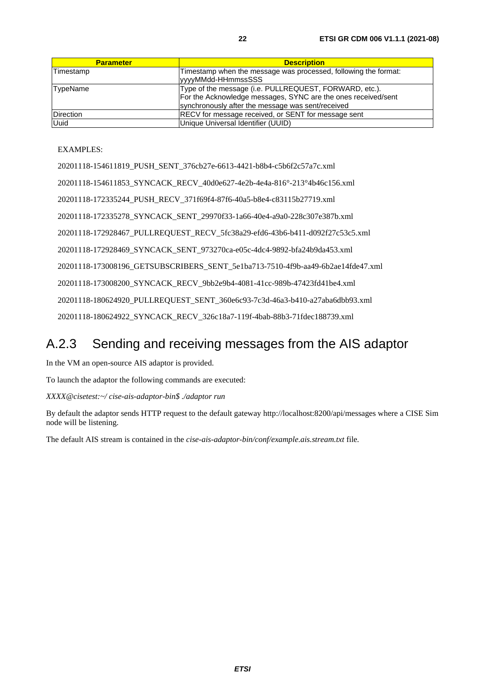<span id="page-21-0"></span>

| <b>Parameter</b> | <b>Description</b>                                                                                                                                                           |
|------------------|------------------------------------------------------------------------------------------------------------------------------------------------------------------------------|
| Timestamp        | Timestamp when the message was processed, following the format:<br>yyyyMMdd-HHmmssSSS                                                                                        |
| TypeName         | Type of the message (i.e. PULLREQUEST, FORWARD, etc.).<br>For the Acknowledge messages, SYNC are the ones received/sent<br>synchronously after the message was sent/received |
| <b>Direction</b> | <b>RECV</b> for message received, or SENT for message sent                                                                                                                   |
| <b>Uuid</b>      | Unique Universal Identifier (UUID)                                                                                                                                           |

#### EXAMPLES:

20201118-154611819\_PUSH\_SENT\_376cb27e-6613-4421-b8b4-c5b6f2c57a7c.xml 20201118-154611853\_SYNCACK\_RECV\_40d0e627-4e2b-4e4a-816°-213°4b46c156.xml 20201118-172335244\_PUSH\_RECV\_371f69f4-87f6-40a5-b8e4-c83115b27719.xml 20201118-172335278\_SYNCACK\_SENT\_29970f33-1a66-40e4-a9a0-228c307e387b.xml 20201118-172928467\_PULLREQUEST\_RECV\_5fc38a29-efd6-43b6-b411-d092f27c53c5.xml 20201118-172928469\_SYNCACK\_SENT\_973270ca-e05c-4dc4-9892-bfa24b9da453.xml 20201118-173008196\_GETSUBSCRIBERS\_SENT\_5e1ba713-7510-4f9b-aa49-6b2ae14fde47.xml 20201118-173008200\_SYNCACK\_RECV\_9bb2e9b4-4081-41cc-989b-47423fd41be4.xml 20201118-180624920\_PULLREQUEST\_SENT\_360e6c93-7c3d-46a3-b410-a27aba6dbb93.xml 20201118-180624922\_SYNCACK\_RECV\_326c18a7-119f-4bab-88b3-71fdec188739.xml

### A.2.3 Sending and receiving messages from the AIS adaptor

In the VM an open-source AIS adaptor is provided.

To launch the adaptor the following commands are executed:

*XXXX@cisetest:~/ cise-ais-adaptor-bin\$ ./adaptor run* 

By default the adaptor sends HTTP request to the default gateway http://localhost:8200/api/messages where a CISE Sim node will be listening.

The default AIS stream is contained in the *cise-ais-adaptor-bin/conf/example.ais.stream.txt* file*.*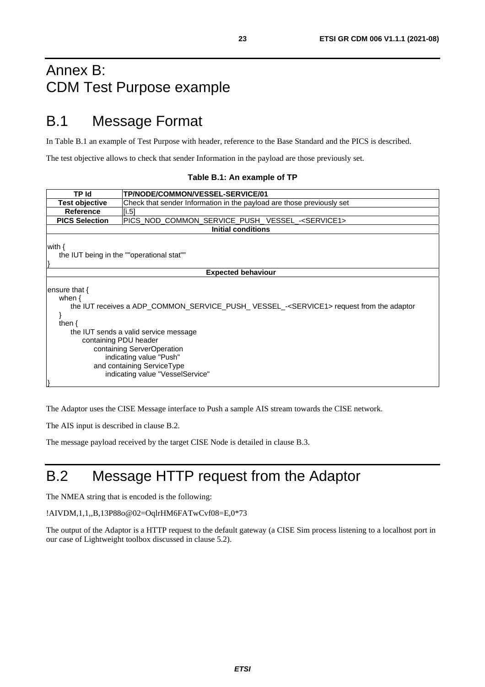# <span id="page-22-0"></span>Annex B: CDM Test Purpose example

# B.1 Message Format

In Table B.1 an example of Test Purpose with header, reference to the Base Standard and the PICS is described.

The test objective allows to check that sender Information in the payload are those previously set.

|  |  |  | Table B.1: An example of TP |  |  |  |
|--|--|--|-----------------------------|--|--|--|
|--|--|--|-----------------------------|--|--|--|

| TP Id                                                                                                                                                                                                                                                                                                                                                           | <b>TP/NODE/COMMON/VESSEL-SERVICE/01</b>                               |  |  |  |
|-----------------------------------------------------------------------------------------------------------------------------------------------------------------------------------------------------------------------------------------------------------------------------------------------------------------------------------------------------------------|-----------------------------------------------------------------------|--|--|--|
| <b>Test objective</b>                                                                                                                                                                                                                                                                                                                                           | Check that sender Information in the payload are those previously set |  |  |  |
| <b>Reference</b>                                                                                                                                                                                                                                                                                                                                                | [i.5]                                                                 |  |  |  |
| <b>PICS Selection</b>                                                                                                                                                                                                                                                                                                                                           | PICS_NOD_COMMON_SERVICE_PUSH_VESSEL_- <service1></service1>           |  |  |  |
|                                                                                                                                                                                                                                                                                                                                                                 | <b>Initial conditions</b>                                             |  |  |  |
| with $\{$<br>the IUT being in the ""operational stat""                                                                                                                                                                                                                                                                                                          |                                                                       |  |  |  |
| <b>Expected behaviour</b>                                                                                                                                                                                                                                                                                                                                       |                                                                       |  |  |  |
| ensure that $\{$<br>when $\{$<br>the IUT receives a ADP COMMON SERVICE PUSH VESSEL - <service1> request from the adaptor<br/>then <math>\{</math><br/>the IUT sends a valid service message<br/>containing PDU header<br/>containing ServerOperation<br/>indicating value "Push"<br/>and containing ServiceType<br/>indicating value "VesselService"</service1> |                                                                       |  |  |  |

The Adaptor uses the CISE Message interface to Push a sample AIS stream towards the CISE network.

The AIS input is described in clause B.2.

The message payload received by the target CISE Node is detailed in clause B.3.

# B.2 Message HTTP request from the Adaptor

The NMEA string that is encoded is the following:

!AIVDM,1,1,,B,13P88o@02=OqlrHM6FATwCvf08=E,0\*73

The output of the Adaptor is a HTTP request to the default gateway (a CISE Sim process listening to a localhost port in our case of Lightweight toolbox discussed in clause 5.2).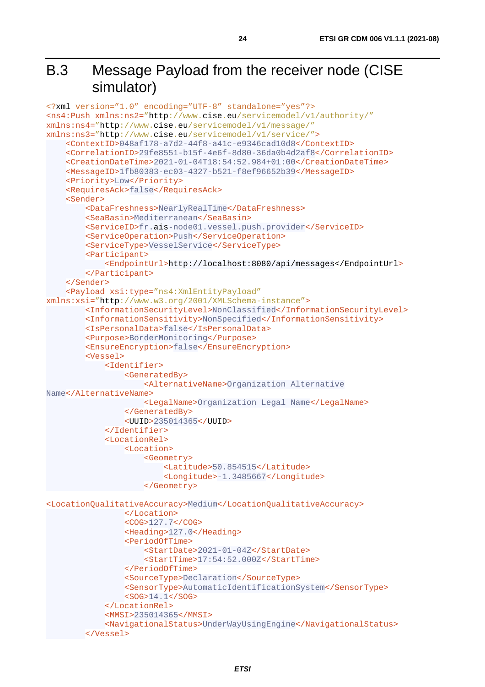# <span id="page-23-0"></span>B.3 Message Payload from the receiver node (CISE simulator)

```
<?xml version="1.0" encoding="UTF-8" standalone="yes"?>
<ns4:Push xmlns:ns2="http://www.cise.eu/servicemodel/v1/authority/"
xmlns:ns4="http://www.cise.eu/servicemodel/v1/message/"
xmlns:ns3="http://www.cise.eu/servicemodel/v1/service/">
     <ContextID>048af178-a7d2-44f8-a41c-e9346cad10d8</ContextID>
     <CorrelationID>29fe8551-b15f-4e6f-8d80-36da0b4d2af8</CorrelationID>
     <CreationDateTime>2021-01-04T18:54:52.984+01:00</CreationDateTime>
     <MessageID>1fb80383-ec03-4327-b521-f8ef96652b39</MessageID>
     <Priority>Low</Priority>
     <RequiresAck>false</RequiresAck>
     <Sender>
         <DataFreshness>NearlyRealTime</DataFreshness>
         <SeaBasin>Mediterranean</SeaBasin>
         <ServiceID>fr.ais-node01.vessel.push.provider</ServiceID>
         <ServiceOperation>Push</ServiceOperation>
         <ServiceType>VesselService</ServiceType>
         <Participant>
             <EndpointUrl>http://localhost:8080/api/messages</EndpointUrl>
         </Participant>
     </Sender>
     <Payload xsi:type="ns4:XmlEntityPayload"
xmlns:xsi="http://www.w3.org/2001/XMLSchema-instance">
         <InformationSecurityLevel>NonClassified</InformationSecurityLevel>
         <InformationSensitivity>NonSpecified</InformationSensitivity>
         <IsPersonalData>false</IsPersonalData>
         <Purpose>BorderMonitoring</Purpose>
         <EnsureEncryption>false</EnsureEncryption>
         <Vessel>
             <Identifier>
                 <GeneratedBy>
                     <AlternativeName>Organization Alternative 
Name</AlternativeName>
                     <LegalName>Organization Legal Name</LegalName>
                 </GeneratedBy>
                 <UUID>235014365</UUID>
             </Identifier>
             <LocationRel>
                 <Location>
                      <Geometry>
                          <Latitude>50.854515</Latitude>
                         <Longitude>-1.3485667</Longitude>
                      </Geometry>
<LocationQualitativeAccuracy>Medium</LocationQualitativeAccuracy>
                 </Location>
                 <COG>127.7</COG>
                 <Heading>127.0</Heading>
                 <PeriodOfTime>
                     <StartDate>2021-01-04Z</StartDate>
                     <StartTime>17:54:52.000Z</StartTime>
                 </PeriodOfTime>
                 <SourceType>Declaration</SourceType>
                 <SensorType>AutomaticIdentificationSystem</SensorType>
                 <SOG>14.1</SOG>
             </LocationRel>
             <MMSI>235014365</MMSI>
             <NavigationalStatus>UnderWayUsingEngine</NavigationalStatus>
         </Vessel>
```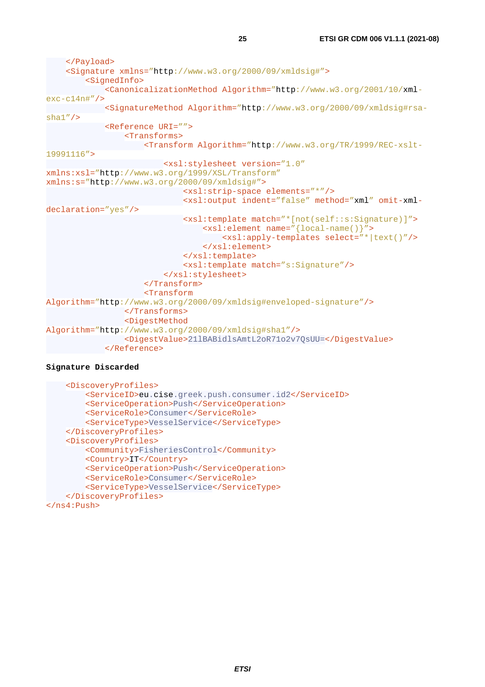```
 </Payload>
     <Signature xmlns="http://www.w3.org/2000/09/xmldsig#">
         <SignedInfo>
             <CanonicalizationMethod Algorithm="http://www.w3.org/2001/10/xml-
exc-c14n#"/>
             <SignatureMethod Algorithm="http://www.w3.org/2000/09/xmldsig#rsa-
sha1''/>
             <Reference URI="">
                 <Transforms>
                    <Transform Algorithm="http://www.w3.org/TR/1999/REC-xslt-
19991116">
                         <xsl:stylesheet version="1.0"
xmlns:xsl="http://www.w3.org/1999/XSL/Transform"
xmlns:s="http://www.w3.org/2000/09/xmldsig#">
                              <xsl:strip-space elements="*"/>
                             <xsl:output indent="false" method="xml" omit-xml-
declaration="yes"/>
                              <xsl:template match="*[not(self::s:Signature)]">
                                  <xsl:element name="{local-name()}">
                                      <xsl:apply-templates select="*|text()"/>
                                  </xsl:element>
                              </xsl:template>
                             <xsl:template match="s:Signature"/>
                          </xsl:stylesheet>
                     </Transform>
                    <Transform 
Algorithm="http://www.w3.org/2000/09/xmldsig#enveloped-signature"/>
                 </Transforms>
                 <DigestMethod 
Algorithm="http://www.w3.org/2000/09/xmldsig#sha1"/>
                 <DigestValue>21lBABidlsAmtL2oR71o2v7QsUU=</DigestValue>
             </Reference>
```
#### **Signature Discarded**

```
 <DiscoveryProfiles>
         <ServiceID>eu.cise.greek.push.consumer.id2</ServiceID>
         <ServiceOperation>Push</ServiceOperation>
         <ServiceRole>Consumer</ServiceRole>
         <ServiceType>VesselService</ServiceType>
    </DiscoveryProfiles>
    <DiscoveryProfiles>
         <Community>FisheriesControl</Community>
         <Country>IT</Country>
         <ServiceOperation>Push</ServiceOperation>
         <ServiceRole>Consumer</ServiceRole>
         <ServiceType>VesselService</ServiceType>
    </DiscoveryProfiles>
</ns4:Push>
```